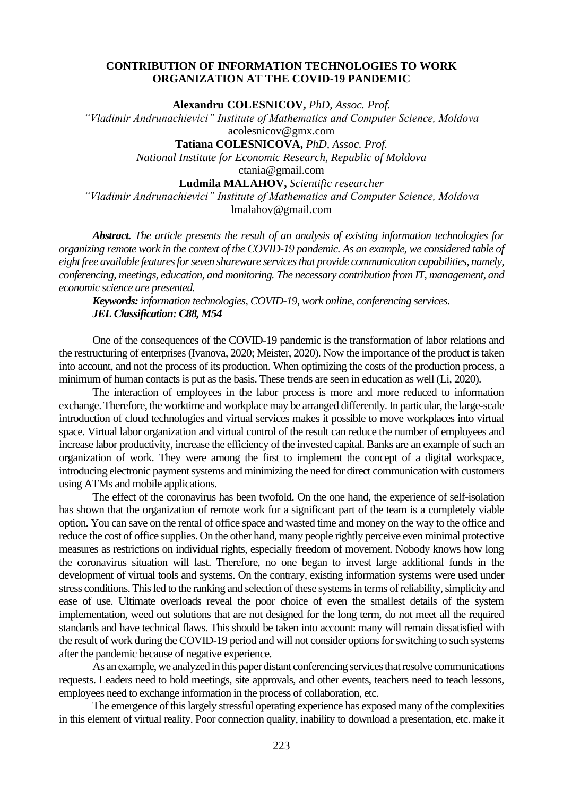## **CONTRIBUTION OF INFORMATION TECHNOLOGIES TO WORK ORGANIZATION AT THE COVID-19 PANDEMIC**

**Alexandru COLESNICOV,** *PhD, Assoc. Prof.*

*"Vladimir Andrunachievici" Institute of Mathematics and Computer Science, Moldova* [acolesnicov@gmx.com](mailto:acolesnicov@gmx.com)

**Tatiana COLESNICOVA,** *PhD, Assoc. Prof.*

*National Institute for Economic Research, Republic of Moldova*

[ctania@gmail.com](mailto:ctania@gmail.com)

**Ludmila MALAHOV,** *Scientific researcher*

*"Vladimir Andrunachievici" Institute of Mathematics and Computer Science, Moldova* [lmalahov@gmail.com](mailto:lmalahov@gmail.com)

*Abstract. The article presents the result of an analysis of existing information technologies for organizing remote work in the context of the COVID-19 pandemic. As an example, we considered table of eight free available features for seven shareware services that provide communication capabilities, namely, conferencing, meetings, education, and monitoring. The necessary contribution from IT, management, and economic science are presented.* 

*Keywords: information technologies, COVID-19, work online, conferencing services*. *JEL Classification: C88, M54*

One of the consequences of the COVID-19 pandemic is the transformation of labor relations and the restructuring of enterprises (Ivanova, 2020; Meister, 2020). Now the importance of the product is taken into account, and not the process of its production. When optimizing the costs of the production process, a minimum of human contacts is put as the basis. These trends are seen in education as well (Li, 2020).

The interaction of employees in the labor process is more and more reduced to information exchange. Therefore, the worktime and workplace may be arranged differently. In particular, the large-scale introduction of cloud technologies and virtual services makes it possible to move workplaces into virtual space. Virtual labor organization and virtual control of the result can reduce the number of employees and increase labor productivity, increase the efficiency of the invested capital. Banks are an example of such an organization of work. They were among the first to implement the concept of a digital workspace, introducing electronic payment systems and minimizing the need for direct communication with customers using ATMs and mobile applications.

The effect of the coronavirus has been twofold. On the one hand, the experience of self-isolation has shown that the organization of remote work for a significant part of the team is a completely viable option. You can save on the rental of office space and wasted time and money on the way to the office and reduce the cost of office supplies. On the other hand, many people rightly perceive even minimal protective measures as restrictions on individual rights, especially freedom of movement. Nobody knows how long the coronavirus situation will last. Therefore, no one began to invest large additional funds in the development of virtual tools and systems. On the contrary, existing information systems were used under stress conditions. This led to the ranking and selection of these systems in terms of reliability, simplicity and ease of use. Ultimate overloads reveal the poor choice of even the smallest details of the system implementation, weed out solutions that are not designed for the long term, do not meet all the required standards and have technical flaws. This should be taken into account: many will remain dissatisfied with the result of work during the COVID-19 period and will not consider options for switching to such systems after the pandemic because of negative experience.

As an example, we analyzed in this paper distant conferencing services that resolve communications requests. Leaders need to hold meetings, site approvals, and other events, teachers need to teach lessons, employees need to exchange information in the process of collaboration, etc.

The emergence of this largely stressful operating experience has exposed many of the complexities in this element of virtual reality. Poor connection quality, inability to download a presentation, etc. make it